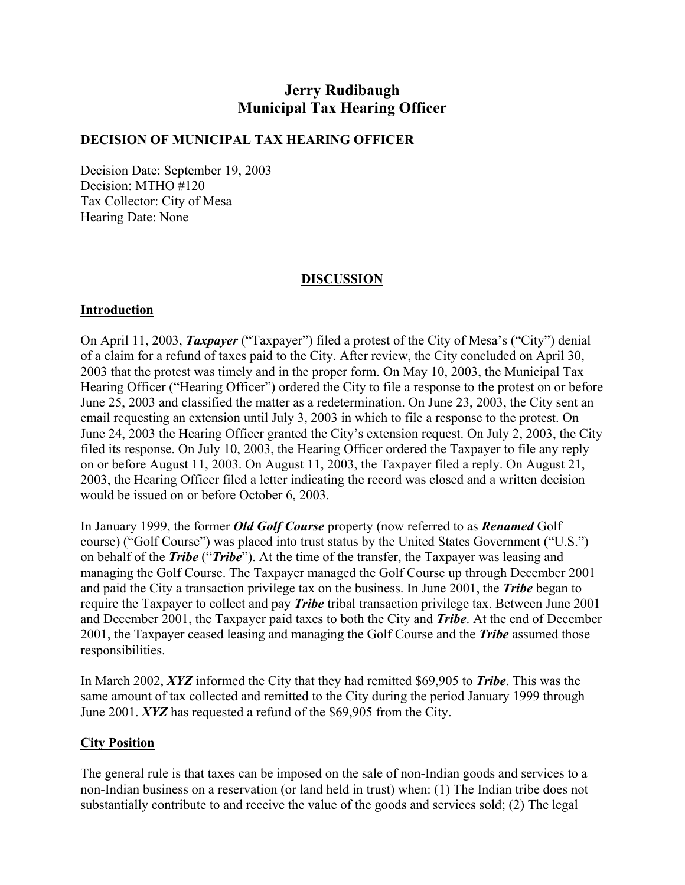# **Jerry Rudibaugh Municipal Tax Hearing Officer**

### **DECISION OF MUNICIPAL TAX HEARING OFFICER**

Decision Date: September 19, 2003 Decision: MTHO #120 Tax Collector: City of Mesa Hearing Date: None

### **DISCUSSION**

#### **Introduction**

On April 11, 2003, *Taxpayer* ("Taxpayer") filed a protest of the City of Mesa's ("City") denial of a claim for a refund of taxes paid to the City. After review, the City concluded on April 30, 2003 that the protest was timely and in the proper form. On May 10, 2003, the Municipal Tax Hearing Officer ("Hearing Officer") ordered the City to file a response to the protest on or before June 25, 2003 and classified the matter as a redetermination. On June 23, 2003, the City sent an email requesting an extension until July 3, 2003 in which to file a response to the protest. On June 24, 2003 the Hearing Officer granted the City's extension request. On July 2, 2003, the City filed its response. On July 10, 2003, the Hearing Officer ordered the Taxpayer to file any reply on or before August 11, 2003. On August 11, 2003, the Taxpayer filed a reply. On August 21, 2003, the Hearing Officer filed a letter indicating the record was closed and a written decision would be issued on or before October 6, 2003.

In January 1999, the former *Old Golf Course* property (now referred to as *Renamed* Golf course) ("Golf Course") was placed into trust status by the United States Government ("U.S.") on behalf of the *Tribe* ("*Tribe*"). At the time of the transfer, the Taxpayer was leasing and managing the Golf Course. The Taxpayer managed the Golf Course up through December 2001 and paid the City a transaction privilege tax on the business. In June 2001, the *Tribe* began to require the Taxpayer to collect and pay *Tribe* tribal transaction privilege tax. Between June 2001 and December 2001, the Taxpayer paid taxes to both the City and *Tribe*. At the end of December 2001, the Taxpayer ceased leasing and managing the Golf Course and the *Tribe* assumed those responsibilities.

In March 2002, *XYZ* informed the City that they had remitted \$69,905 to *Tribe*. This was the same amount of tax collected and remitted to the City during the period January 1999 through June 2001. *XYZ* has requested a refund of the \$69,905 from the City.

#### **City Position**

The general rule is that taxes can be imposed on the sale of non-Indian goods and services to a non-Indian business on a reservation (or land held in trust) when: (1) The Indian tribe does not substantially contribute to and receive the value of the goods and services sold; (2) The legal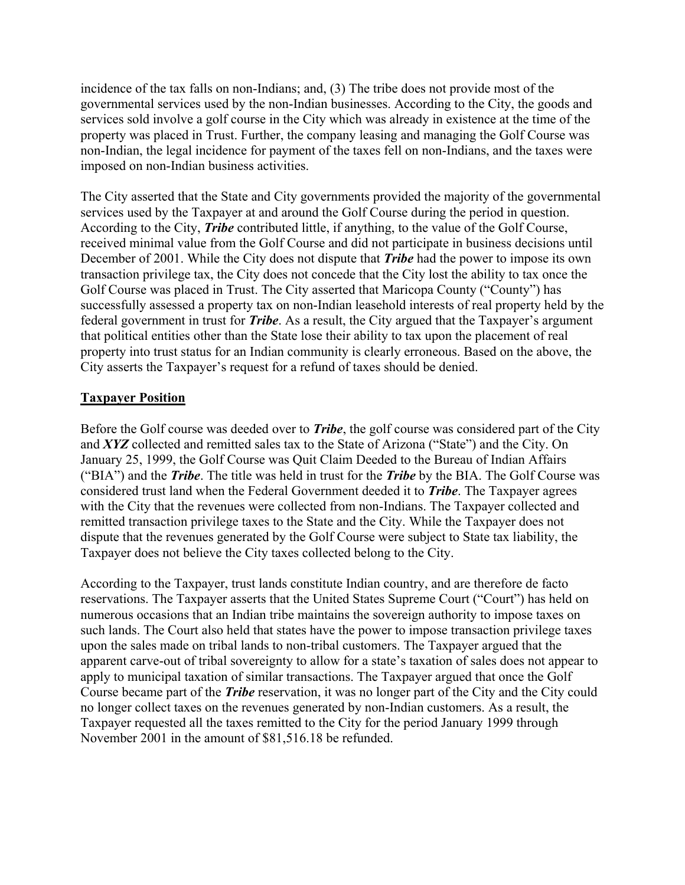incidence of the tax falls on non-Indians; and, (3) The tribe does not provide most of the governmental services used by the non-Indian businesses. According to the City, the goods and services sold involve a golf course in the City which was already in existence at the time of the property was placed in Trust. Further, the company leasing and managing the Golf Course was non-Indian, the legal incidence for payment of the taxes fell on non-Indians, and the taxes were imposed on non-Indian business activities.

The City asserted that the State and City governments provided the majority of the governmental services used by the Taxpayer at and around the Golf Course during the period in question. According to the City, *Tribe* contributed little, if anything, to the value of the Golf Course, received minimal value from the Golf Course and did not participate in business decisions until December of 2001. While the City does not dispute that *Tribe* had the power to impose its own transaction privilege tax, the City does not concede that the City lost the ability to tax once the Golf Course was placed in Trust. The City asserted that Maricopa County ("County") has successfully assessed a property tax on non-Indian leasehold interests of real property held by the federal government in trust for *Tribe*. As a result, the City argued that the Taxpayer's argument that political entities other than the State lose their ability to tax upon the placement of real property into trust status for an Indian community is clearly erroneous. Based on the above, the City asserts the Taxpayer's request for a refund of taxes should be denied.

### **Taxpayer Position**

Before the Golf course was deeded over to *Tribe*, the golf course was considered part of the City and *XYZ* collected and remitted sales tax to the State of Arizona ("State") and the City. On January 25, 1999, the Golf Course was Quit Claim Deeded to the Bureau of Indian Affairs ("BIA") and the *Tribe*. The title was held in trust for the *Tribe* by the BIA. The Golf Course was considered trust land when the Federal Government deeded it to *Tribe*. The Taxpayer agrees with the City that the revenues were collected from non-Indians. The Taxpayer collected and remitted transaction privilege taxes to the State and the City. While the Taxpayer does not dispute that the revenues generated by the Golf Course were subject to State tax liability, the Taxpayer does not believe the City taxes collected belong to the City.

According to the Taxpayer, trust lands constitute Indian country, and are therefore de facto reservations. The Taxpayer asserts that the United States Supreme Court ("Court") has held on numerous occasions that an Indian tribe maintains the sovereign authority to impose taxes on such lands. The Court also held that states have the power to impose transaction privilege taxes upon the sales made on tribal lands to non-tribal customers. The Taxpayer argued that the apparent carve-out of tribal sovereignty to allow for a state's taxation of sales does not appear to apply to municipal taxation of similar transactions. The Taxpayer argued that once the Golf Course became part of the *Tribe* reservation, it was no longer part of the City and the City could no longer collect taxes on the revenues generated by non-Indian customers. As a result, the Taxpayer requested all the taxes remitted to the City for the period January 1999 through November 2001 in the amount of \$81,516.18 be refunded.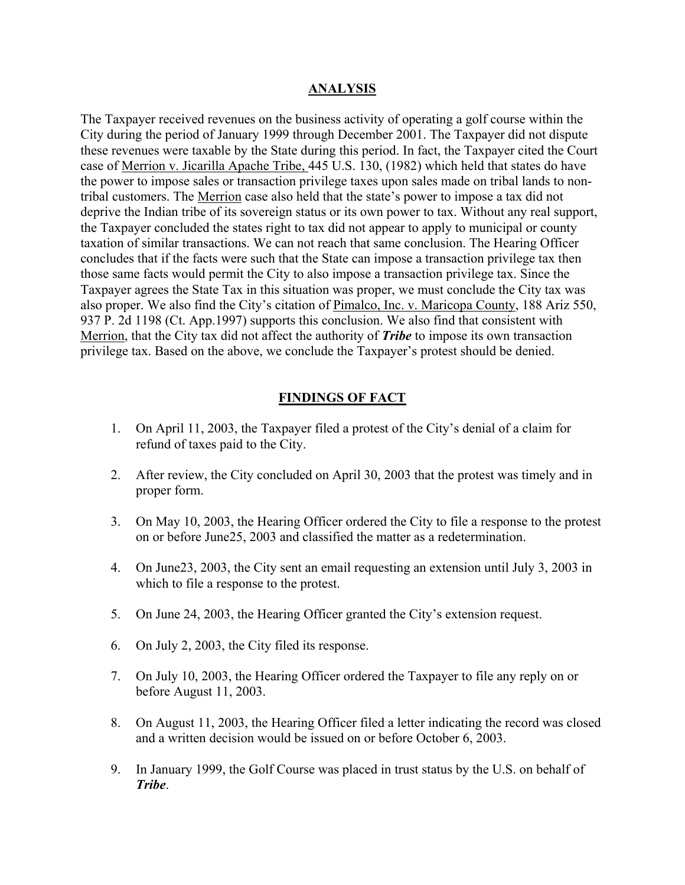#### **ANALYSIS**

The Taxpayer received revenues on the business activity of operating a golf course within the City during the period of January 1999 through December 2001. The Taxpayer did not dispute these revenues were taxable by the State during this period. In fact, the Taxpayer cited the Court case of Merrion v. Jicarilla Apache Tribe, 445 U.S. 130, (1982) which held that states do have the power to impose sales or transaction privilege taxes upon sales made on tribal lands to nontribal customers. The Merrion case also held that the state's power to impose a tax did not deprive the Indian tribe of its sovereign status or its own power to tax. Without any real support, the Taxpayer concluded the states right to tax did not appear to apply to municipal or county taxation of similar transactions. We can not reach that same conclusion. The Hearing Officer concludes that if the facts were such that the State can impose a transaction privilege tax then those same facts would permit the City to also impose a transaction privilege tax. Since the Taxpayer agrees the State Tax in this situation was proper, we must conclude the City tax was also proper. We also find the City's citation of Pimalco, Inc. v. Maricopa County, 188 Ariz 550, 937 P. 2d 1198 (Ct. App.1997) supports this conclusion. We also find that consistent with Merrion, that the City tax did not affect the authority of *Tribe* to impose its own transaction privilege tax. Based on the above, we conclude the Taxpayer's protest should be denied.

### **FINDINGS OF FACT**

- 1. On April 11, 2003, the Taxpayer filed a protest of the City's denial of a claim for refund of taxes paid to the City.
- 2. After review, the City concluded on April 30, 2003 that the protest was timely and in proper form.
- 3. On May 10, 2003, the Hearing Officer ordered the City to file a response to the protest on or before June25, 2003 and classified the matter as a redetermination.
- 4. On June23, 2003, the City sent an email requesting an extension until July 3, 2003 in which to file a response to the protest.
- 5. On June 24, 2003, the Hearing Officer granted the City's extension request.
- 6. On July 2, 2003, the City filed its response.
- 7. On July 10, 2003, the Hearing Officer ordered the Taxpayer to file any reply on or before August 11, 2003.
- 8. On August 11, 2003, the Hearing Officer filed a letter indicating the record was closed and a written decision would be issued on or before October 6, 2003.
- 9. In January 1999, the Golf Course was placed in trust status by the U.S. on behalf of *Tribe*.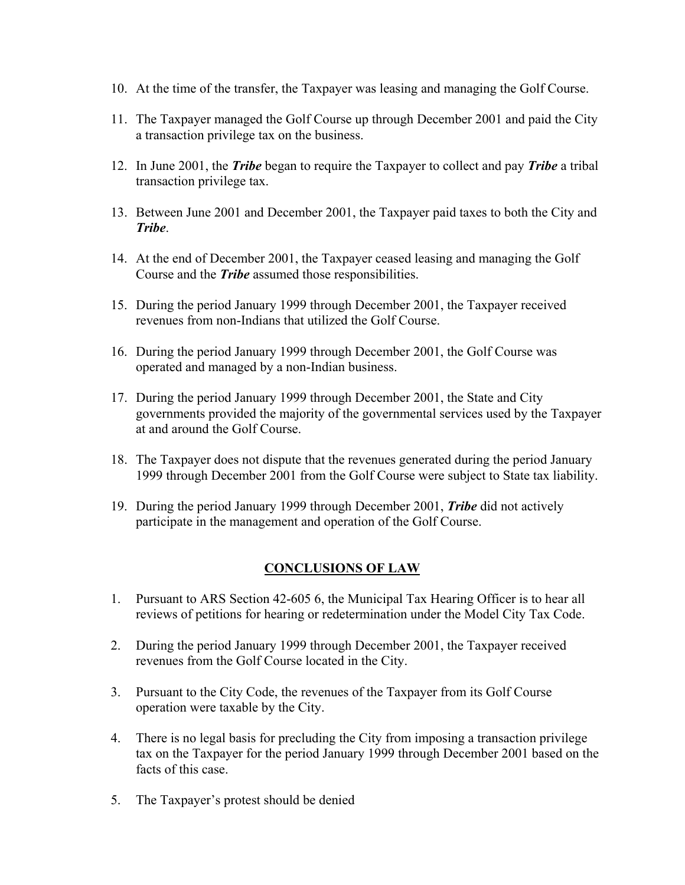- 10. At the time of the transfer, the Taxpayer was leasing and managing the Golf Course.
- 11. The Taxpayer managed the Golf Course up through December 2001 and paid the City a transaction privilege tax on the business.
- 12. In June 2001, the *Tribe* began to require the Taxpayer to collect and pay *Tribe* a tribal transaction privilege tax.
- 13. Between June 2001 and December 2001, the Taxpayer paid taxes to both the City and *Tribe*.
- 14. At the end of December 2001, the Taxpayer ceased leasing and managing the Golf Course and the *Tribe* assumed those responsibilities.
- 15. During the period January 1999 through December 2001, the Taxpayer received revenues from non-Indians that utilized the Golf Course.
- 16. During the period January 1999 through December 2001, the Golf Course was operated and managed by a non-Indian business.
- 17. During the period January 1999 through December 2001, the State and City governments provided the majority of the governmental services used by the Taxpayer at and around the Golf Course.
- 18. The Taxpayer does not dispute that the revenues generated during the period January 1999 through December 2001 from the Golf Course were subject to State tax liability.
- 19. During the period January 1999 through December 2001, *Tribe* did not actively participate in the management and operation of the Golf Course.

# **CONCLUSIONS OF LAW**

- 1. Pursuant to ARS Section 42-605 6, the Municipal Tax Hearing Officer is to hear all reviews of petitions for hearing or redetermination under the Model City Tax Code.
- 2. During the period January 1999 through December 2001, the Taxpayer received revenues from the Golf Course located in the City.
- 3. Pursuant to the City Code, the revenues of the Taxpayer from its Golf Course operation were taxable by the City.
- 4. There is no legal basis for precluding the City from imposing a transaction privilege tax on the Taxpayer for the period January 1999 through December 2001 based on the facts of this case.
- 5. The Taxpayer's protest should be denied